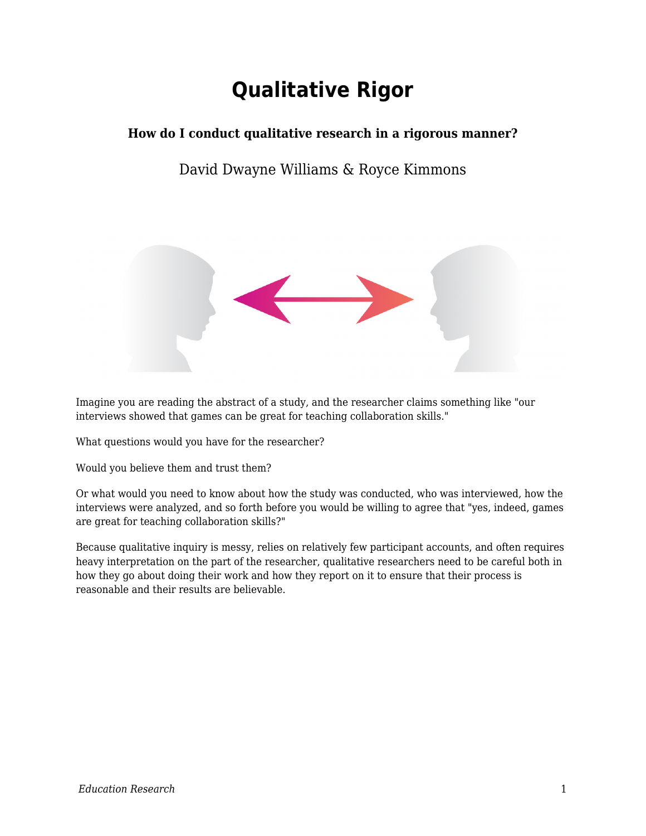# **Qualitative Rigor**

### **How do I conduct qualitative research in a rigorous manner?**

### David Dwayne Williams & Royce Kimmons



Imagine you are reading the abstract of a study, and the researcher claims something like "our interviews showed that games can be great for teaching collaboration skills."

What questions would you have for the researcher?

Would you believe them and trust them?

Or what would you need to know about how the study was conducted, who was interviewed, how the interviews were analyzed, and so forth before you would be willing to agree that "yes, indeed, games are great for teaching collaboration skills?"

Because qualitative inquiry is messy, relies on relatively few participant accounts, and often requires heavy interpretation on the part of the researcher, qualitative researchers need to be careful both in how they go about doing their work and how they report on it to ensure that their process is reasonable and their results are believable.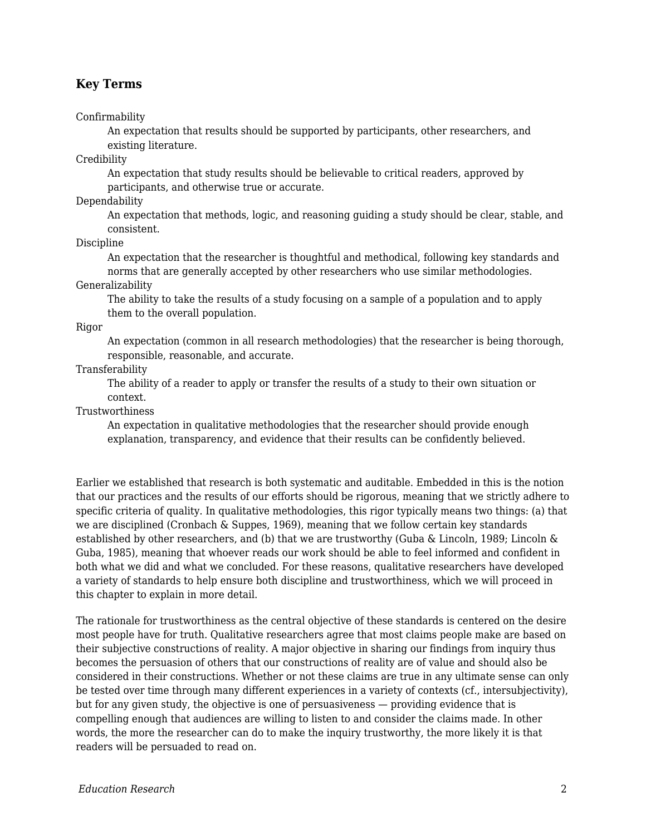#### **Key Terms**

#### Confirmability

An expectation that results should be supported by participants, other researchers, and existing literature.

Credibility

An expectation that study results should be believable to critical readers, approved by participants, and otherwise true or accurate.

Dependability

An expectation that methods, logic, and reasoning guiding a study should be clear, stable, and consistent.

Discipline

An expectation that the researcher is thoughtful and methodical, following key standards and norms that are generally accepted by other researchers who use similar methodologies.

Generalizability

The ability to take the results of a study focusing on a sample of a population and to apply them to the overall population.

Rigor

An expectation (common in all research methodologies) that the researcher is being thorough, responsible, reasonable, and accurate.

#### Transferability

The ability of a reader to apply or transfer the results of a study to their own situation or context.

Trustworthiness

An expectation in qualitative methodologies that the researcher should provide enough explanation, transparency, and evidence that their results can be confidently believed.

Earlier we established that research is both systematic and auditable. Embedded in this is the notion that our practices and the results of our efforts should be rigorous, meaning that we strictly adhere to specific criteria of quality. In qualitative methodologies, this rigor typically means two things: (a) that we are disciplined (Cronbach & Suppes, 1969), meaning that we follow certain key standards established by other researchers, and (b) that we are trustworthy (Guba & Lincoln, 1989; Lincoln & Guba, 1985), meaning that whoever reads our work should be able to feel informed and confident in both what we did and what we concluded. For these reasons, qualitative researchers have developed a variety of standards to help ensure both discipline and trustworthiness, which we will proceed in this chapter to explain in more detail.

The rationale for trustworthiness as the central objective of these standards is centered on the desire most people have for truth. Qualitative researchers agree that most claims people make are based on their subjective constructions of reality. A major objective in sharing our findings from inquiry thus becomes the persuasion of others that our constructions of reality are of value and should also be considered in their constructions. Whether or not these claims are true in any ultimate sense can only be tested over time through many different experiences in a variety of contexts (cf., intersubjectivity), but for any given study, the objective is one of persuasiveness — providing evidence that is compelling enough that audiences are willing to listen to and consider the claims made. In other words, the more the researcher can do to make the inquiry trustworthy, the more likely it is that readers will be persuaded to read on.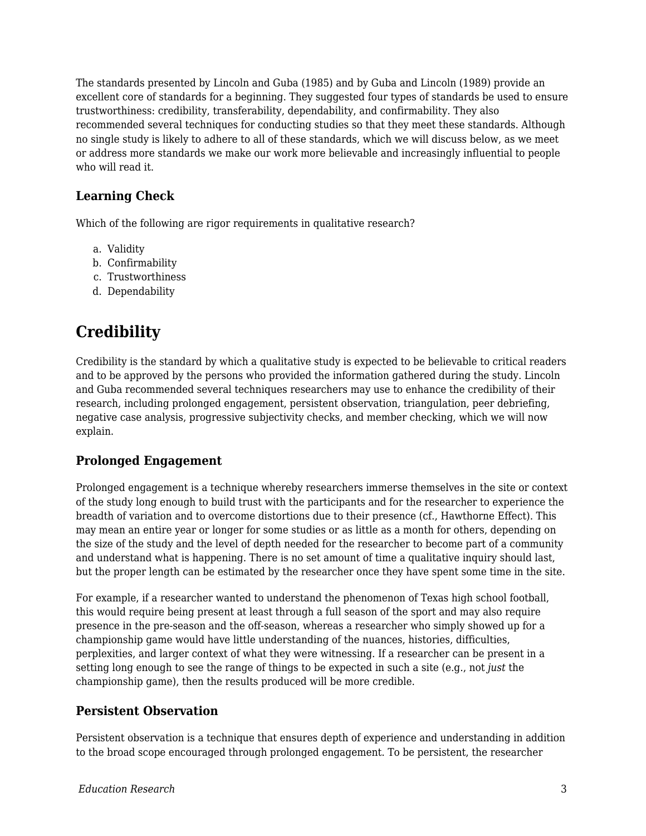The standards presented by Lincoln and Guba (1985) and by Guba and Lincoln (1989) provide an excellent core of standards for a beginning. They suggested four types of standards be used to ensure trustworthiness: credibility, transferability, dependability, and confirmability. They also recommended several techniques for conducting studies so that they meet these standards. Although no single study is likely to adhere to all of these standards, which we will discuss below, as we meet or address more standards we make our work more believable and increasingly influential to people who will read it.

#### **Learning Check**

Which of the following are rigor requirements in qualitative research?

- a. Validity
- b. Confirmability
- c. Trustworthiness
- d. Dependability

### **Credibility**

Credibility is the standard by which a qualitative study is expected to be believable to critical readers and to be approved by the persons who provided the information gathered during the study. Lincoln and Guba recommended several techniques researchers may use to enhance the credibility of their research, including prolonged engagement, persistent observation, triangulation, peer debriefing, negative case analysis, progressive subjectivity checks, and member checking, which we will now explain.

#### **Prolonged Engagement**

Prolonged engagement is a technique whereby researchers immerse themselves in the site or context of the study long enough to build trust with the participants and for the researcher to experience the breadth of variation and to overcome distortions due to their presence (cf., Hawthorne Effect). This may mean an entire year or longer for some studies or as little as a month for others, depending on the size of the study and the level of depth needed for the researcher to become part of a community and understand what is happening. There is no set amount of time a qualitative inquiry should last, but the proper length can be estimated by the researcher once they have spent some time in the site.

For example, if a researcher wanted to understand the phenomenon of Texas high school football, this would require being present at least through a full season of the sport and may also require presence in the pre-season and the off-season, whereas a researcher who simply showed up for a championship game would have little understanding of the nuances, histories, difficulties, perplexities, and larger context of what they were witnessing. If a researcher can be present in a setting long enough to see the range of things to be expected in such a site (e.g., not *just* the championship game), then the results produced will be more credible.

#### **Persistent Observation**

Persistent observation is a technique that ensures depth of experience and understanding in addition to the broad scope encouraged through prolonged engagement. To be persistent, the researcher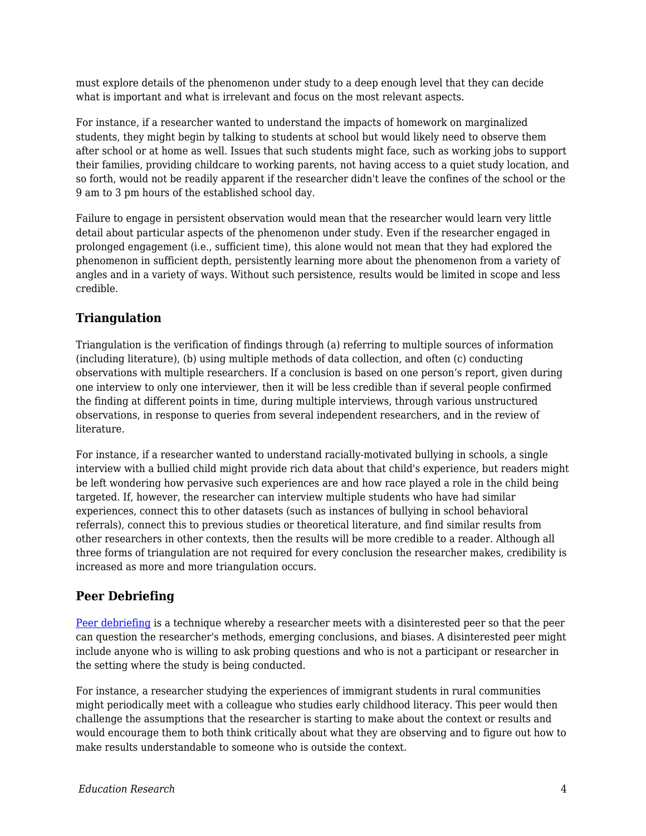must explore details of the phenomenon under study to a deep enough level that they can decide what is important and what is irrelevant and focus on the most relevant aspects.

For instance, if a researcher wanted to understand the impacts of homework on marginalized students, they might begin by talking to students at school but would likely need to observe them after school or at home as well. Issues that such students might face, such as working jobs to support their families, providing childcare to working parents, not having access to a quiet study location, and so forth, would not be readily apparent if the researcher didn't leave the confines of the school or the 9 am to 3 pm hours of the established school day.

Failure to engage in persistent observation would mean that the researcher would learn very little detail about particular aspects of the phenomenon under study. Even if the researcher engaged in prolonged engagement (i.e., sufficient time), this alone would not mean that they had explored the phenomenon in sufficient depth, persistently learning more about the phenomenon from a variety of angles and in a variety of ways. Without such persistence, results would be limited in scope and less credible.

#### **Triangulation**

Triangulation is the verification of findings through (a) referring to multiple sources of information (including literature), (b) using multiple methods of data collection, and often (c) conducting observations with multiple researchers. If a conclusion is based on one person's report, given during one interview to only one interviewer, then it will be less credible than if several people confirmed the finding at different points in time, during multiple interviews, through various unstructured observations, in response to queries from several independent researchers, and in the review of literature.

For instance, if a researcher wanted to understand racially-motivated bullying in schools, a single interview with a bullied child might provide rich data about that child's experience, but readers might be left wondering how pervasive such experiences are and how race played a role in the child being targeted. If, however, the researcher can interview multiple students who have had similar experiences, connect this to other datasets (such as instances of bullying in school behavioral referrals), connect this to previous studies or theoretical literature, and find similar results from other researchers in other contexts, then the results will be more credible to a reader. Although all three forms of triangulation are not required for every conclusion the researcher makes, credibility is increased as more and more triangulation occurs.

#### **Peer Debriefing**

[Peer debriefing](https://edtechbooks.org/education_research/glossary#peer_debriefing) is a technique whereby a researcher meets with a disinterested peer so that the peer can question the researcher's methods, emerging conclusions, and biases. A disinterested peer might include anyone who is willing to ask probing questions and who is not a participant or researcher in the setting where the study is being conducted.

For instance, a researcher studying the experiences of immigrant students in rural communities might periodically meet with a colleague who studies early childhood literacy. This peer would then challenge the assumptions that the researcher is starting to make about the context or results and would encourage them to both think critically about what they are observing and to figure out how to make results understandable to someone who is outside the context.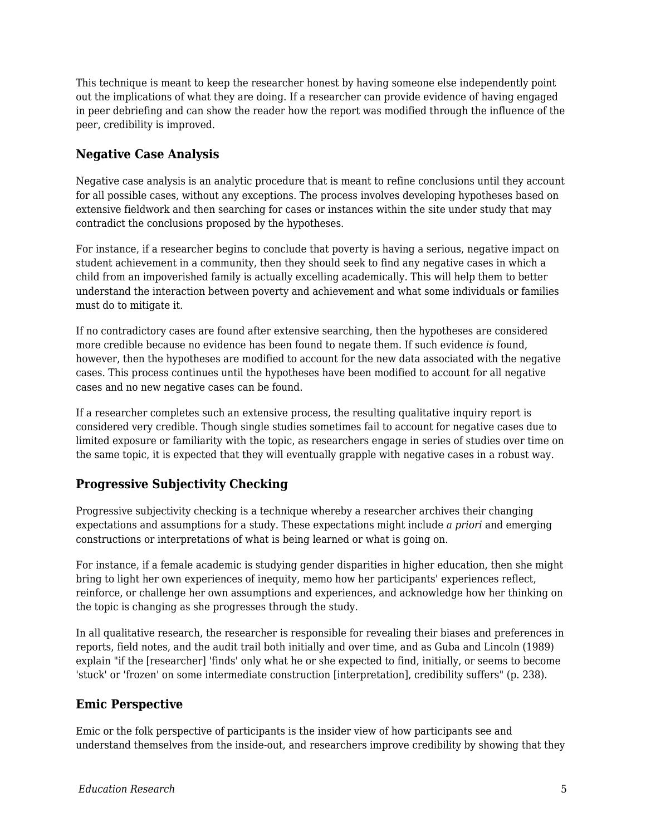This technique is meant to keep the researcher honest by having someone else independently point out the implications of what they are doing. If a researcher can provide evidence of having engaged in peer debriefing and can show the reader how the report was modified through the influence of the peer, credibility is improved.

#### **Negative Case Analysis**

Negative case analysis is an analytic procedure that is meant to refine conclusions until they account for all possible cases, without any exceptions. The process involves developing hypotheses based on extensive fieldwork and then searching for cases or instances within the site under study that may contradict the conclusions proposed by the hypotheses.

For instance, if a researcher begins to conclude that poverty is having a serious, negative impact on student achievement in a community, then they should seek to find any negative cases in which a child from an impoverished family is actually excelling academically. This will help them to better understand the interaction between poverty and achievement and what some individuals or families must do to mitigate it.

If no contradictory cases are found after extensive searching, then the hypotheses are considered more credible because no evidence has been found to negate them. If such evidence *is* found, however, then the hypotheses are modified to account for the new data associated with the negative cases. This process continues until the hypotheses have been modified to account for all negative cases and no new negative cases can be found.

If a researcher completes such an extensive process, the resulting qualitative inquiry report is considered very credible. Though single studies sometimes fail to account for negative cases due to limited exposure or familiarity with the topic, as researchers engage in series of studies over time on the same topic, it is expected that they will eventually grapple with negative cases in a robust way.

### **Progressive Subjectivity Checking**

Progressive subjectivity checking is a technique whereby a researcher archives their changing expectations and assumptions for a study. These expectations might include *a priori* and emerging constructions or interpretations of what is being learned or what is going on.

For instance, if a female academic is studying gender disparities in higher education, then she might bring to light her own experiences of inequity, memo how her participants' experiences reflect, reinforce, or challenge her own assumptions and experiences, and acknowledge how her thinking on the topic is changing as she progresses through the study.

In all qualitative research, the researcher is responsible for revealing their biases and preferences in reports, field notes, and the audit trail both initially and over time, and as Guba and Lincoln (1989) explain "if the [researcher] 'finds' only what he or she expected to find, initially, or seems to become 'stuck' or 'frozen' on some intermediate construction [interpretation], credibility suffers" (p. 238).

#### **Emic Perspective**

Emic or the folk perspective of participants is the insider view of how participants see and understand themselves from the inside-out, and researchers improve credibility by showing that they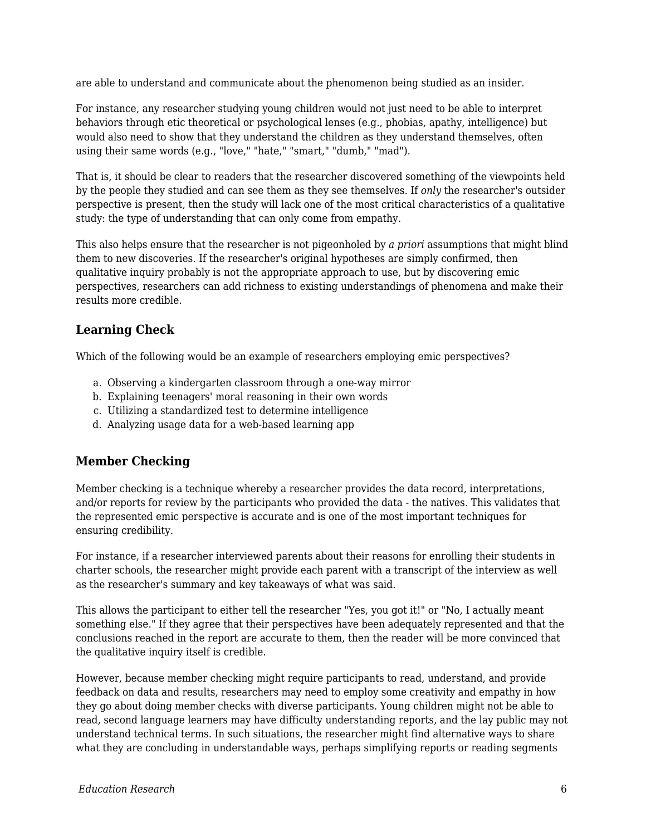are able to understand and communicate about the phenomenon being studied as an insider.

For instance, any researcher studying young children would not just need to be able to interpret behaviors through etic theoretical or psychological lenses (e.g., phobias, apathy, intelligence) but would also need to show that they understand the children as they understand themselves, often using their same words (e.g., "love," "hate," "smart," "dumb," "mad").

That is, it should be clear to readers that the researcher discovered something of the viewpoints held by the people they studied and can see them as they see themselves. If *only* the researcher's outsider perspective is present, then the study will lack one of the most critical characteristics of a qualitative study: the type of understanding that can only come from empathy.

This also helps ensure that the researcher is not pigeonholed by *a priori* assumptions that might blind them to new discoveries. If the researcher's original hypotheses are simply confirmed, then qualitative inquiry probably is not the appropriate approach to use, but by discovering emic perspectives, researchers can add richness to existing understandings of phenomena and make their results more credible.

#### **Learning Check**

Which of the following would be an example of researchers employing emic perspectives?

- a. Observing a kindergarten classroom through a one-way mirror
- b. Explaining teenagers' moral reasoning in their own words
- c. Utilizing a standardized test to determine intelligence
- d. Analyzing usage data for a web-based learning app

#### **Member Checking**

Member checking is a technique whereby a researcher provides the data record, interpretations, and/or reports for review by the participants who provided the data - the natives. This validates that the represented emic perspective is accurate and is one of the most important techniques for ensuring credibility.

For instance, if a researcher interviewed parents about their reasons for enrolling their students in charter schools, the researcher might provide each parent with a transcript of the interview as well as the researcher's summary and key takeaways of what was said.

This allows the participant to either tell the researcher "Yes, you got it!" or "No, I actually meant something else." If they agree that their perspectives have been adequately represented and that the conclusions reached in the report are accurate to them, then the reader will be more convinced that the qualitative inquiry itself is credible.

However, because member checking might require participants to read, understand, and provide feedback on data and results, researchers may need to employ some creativity and empathy in how they go about doing member checks with diverse participants. Young children might not be able to read, second language learners may have difficulty understanding reports, and the lay public may not understand technical terms. In such situations, the researcher might find alternative ways to share what they are concluding in understandable ways, perhaps simplifying reports or reading segments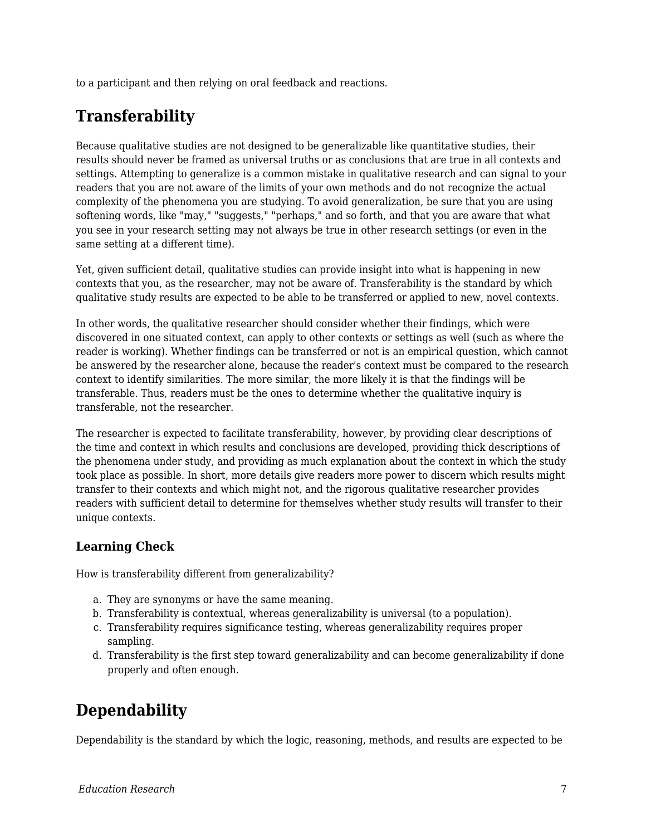to a participant and then relying on oral feedback and reactions.

## **Transferability**

Because qualitative studies are not designed to be generalizable like quantitative studies, their results should never be framed as universal truths or as conclusions that are true in all contexts and settings. Attempting to generalize is a common mistake in qualitative research and can signal to your readers that you are not aware of the limits of your own methods and do not recognize the actual complexity of the phenomena you are studying. To avoid generalization, be sure that you are using softening words, like "may," "suggests," "perhaps," and so forth, and that you are aware that what you see in your research setting may not always be true in other research settings (or even in the same setting at a different time).

Yet, given sufficient detail, qualitative studies can provide insight into what is happening in new contexts that you, as the researcher, may not be aware of. Transferability is the standard by which qualitative study results are expected to be able to be transferred or applied to new, novel contexts.

In other words, the qualitative researcher should consider whether their findings, which were discovered in one situated context, can apply to other contexts or settings as well (such as where the reader is working). Whether findings can be transferred or not is an empirical question, which cannot be answered by the researcher alone, because the reader's context must be compared to the research context to identify similarities. The more similar, the more likely it is that the findings will be transferable. Thus, readers must be the ones to determine whether the qualitative inquiry is transferable, not the researcher.

The researcher is expected to facilitate transferability, however, by providing clear descriptions of the time and context in which results and conclusions are developed, providing thick descriptions of the phenomena under study, and providing as much explanation about the context in which the study took place as possible. In short, more details give readers more power to discern which results might transfer to their contexts and which might not, and the rigorous qualitative researcher provides readers with sufficient detail to determine for themselves whether study results will transfer to their unique contexts.

#### **Learning Check**

How is transferability different from generalizability?

- a. They are synonyms or have the same meaning.
- b. Transferability is contextual, whereas generalizability is universal (to a population).
- c. Transferability requires significance testing, whereas generalizability requires proper sampling.
- d. Transferability is the first step toward generalizability and can become generalizability if done properly and often enough.

## **Dependability**

Dependability is the standard by which the logic, reasoning, methods, and results are expected to be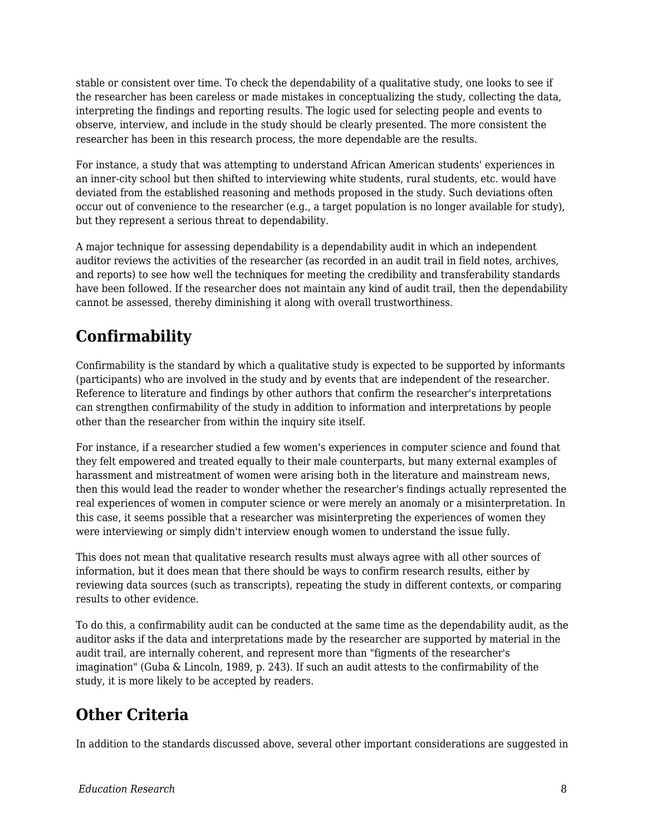stable or consistent over time. To check the dependability of a qualitative study, one looks to see if the researcher has been careless or made mistakes in conceptualizing the study, collecting the data, interpreting the findings and reporting results. The logic used for selecting people and events to observe, interview, and include in the study should be clearly presented. The more consistent the researcher has been in this research process, the more dependable are the results.

For instance, a study that was attempting to understand African American students' experiences in an inner-city school but then shifted to interviewing white students, rural students, etc. would have deviated from the established reasoning and methods proposed in the study. Such deviations often occur out of convenience to the researcher (e.g., a target population is no longer available for study), but they represent a serious threat to dependability.

A major technique for assessing dependability is a dependability audit in which an independent auditor reviews the activities of the researcher (as recorded in an audit trail in field notes, archives, and reports) to see how well the techniques for meeting the credibility and transferability standards have been followed. If the researcher does not maintain any kind of audit trail, then the dependability cannot be assessed, thereby diminishing it along with overall trustworthiness.

# **Confirmability**

Confirmability is the standard by which a qualitative study is expected to be supported by informants (participants) who are involved in the study and by events that are independent of the researcher. Reference to literature and findings by other authors that confirm the researcher's interpretations can strengthen confirmability of the study in addition to information and interpretations by people other than the researcher from within the inquiry site itself.

For instance, if a researcher studied a few women's experiences in computer science and found that they felt empowered and treated equally to their male counterparts, but many external examples of harassment and mistreatment of women were arising both in the literature and mainstream news, then this would lead the reader to wonder whether the researcher's findings actually represented the real experiences of women in computer science or were merely an anomaly or a misinterpretation. In this case, it seems possible that a researcher was misinterpreting the experiences of women they were interviewing or simply didn't interview enough women to understand the issue fully.

This does not mean that qualitative research results must always agree with all other sources of information, but it does mean that there should be ways to confirm research results, either by reviewing data sources (such as transcripts), repeating the study in different contexts, or comparing results to other evidence.

To do this, a confirmability audit can be conducted at the same time as the dependability audit, as the auditor asks if the data and interpretations made by the researcher are supported by material in the audit trail, are internally coherent, and represent more than "figments of the researcher's imagination" (Guba & Lincoln, 1989, p. 243). If such an audit attests to the confirmability of the study, it is more likely to be accepted by readers.

### **Other Criteria**

In addition to the standards discussed above, several other important considerations are suggested in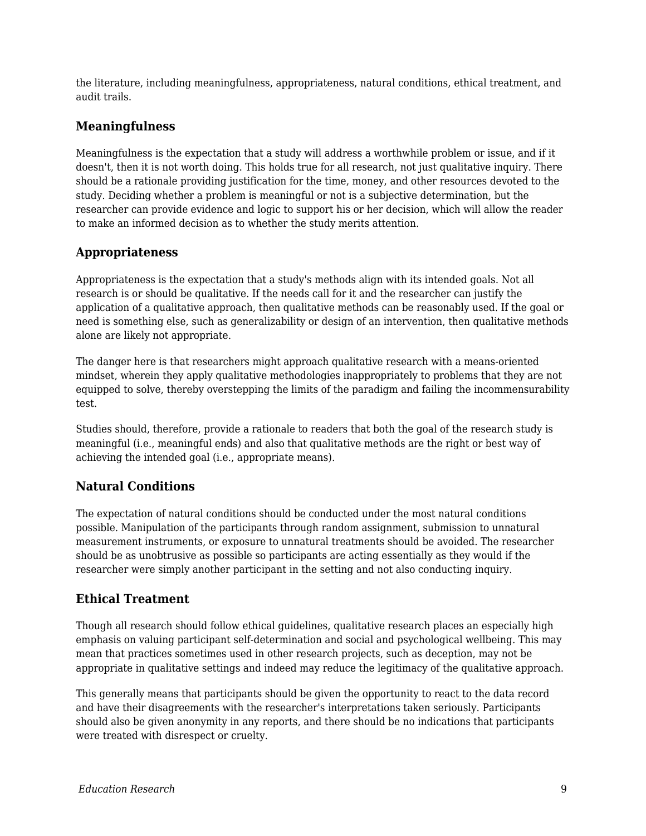the literature, including meaningfulness, appropriateness, natural conditions, ethical treatment, and audit trails.

#### **Meaningfulness**

Meaningfulness is the expectation that a study will address a worthwhile problem or issue, and if it doesn't, then it is not worth doing. This holds true for all research, not just qualitative inquiry. There should be a rationale providing justification for the time, money, and other resources devoted to the study. Deciding whether a problem is meaningful or not is a subjective determination, but the researcher can provide evidence and logic to support his or her decision, which will allow the reader to make an informed decision as to whether the study merits attention.

#### **Appropriateness**

Appropriateness is the expectation that a study's methods align with its intended goals. Not all research is or should be qualitative. If the needs call for it and the researcher can justify the application of a qualitative approach, then qualitative methods can be reasonably used. If the goal or need is something else, such as generalizability or design of an intervention, then qualitative methods alone are likely not appropriate.

The danger here is that researchers might approach qualitative research with a means-oriented mindset, wherein they apply qualitative methodologies inappropriately to problems that they are not equipped to solve, thereby overstepping the limits of the paradigm and failing the incommensurability test.

Studies should, therefore, provide a rationale to readers that both the goal of the research study is meaningful (i.e., meaningful ends) and also that qualitative methods are the right or best way of achieving the intended goal (i.e., appropriate means).

### **Natural Conditions**

The expectation of natural conditions should be conducted under the most natural conditions possible. Manipulation of the participants through random assignment, submission to unnatural measurement instruments, or exposure to unnatural treatments should be avoided. The researcher should be as unobtrusive as possible so participants are acting essentially as they would if the researcher were simply another participant in the setting and not also conducting inquiry.

#### **Ethical Treatment**

Though all research should follow ethical guidelines, qualitative research places an especially high emphasis on valuing participant self-determination and social and psychological wellbeing. This may mean that practices sometimes used in other research projects, such as deception, may not be appropriate in qualitative settings and indeed may reduce the legitimacy of the qualitative approach.

This generally means that participants should be given the opportunity to react to the data record and have their disagreements with the researcher's interpretations taken seriously. Participants should also be given anonymity in any reports, and there should be no indications that participants were treated with disrespect or cruelty.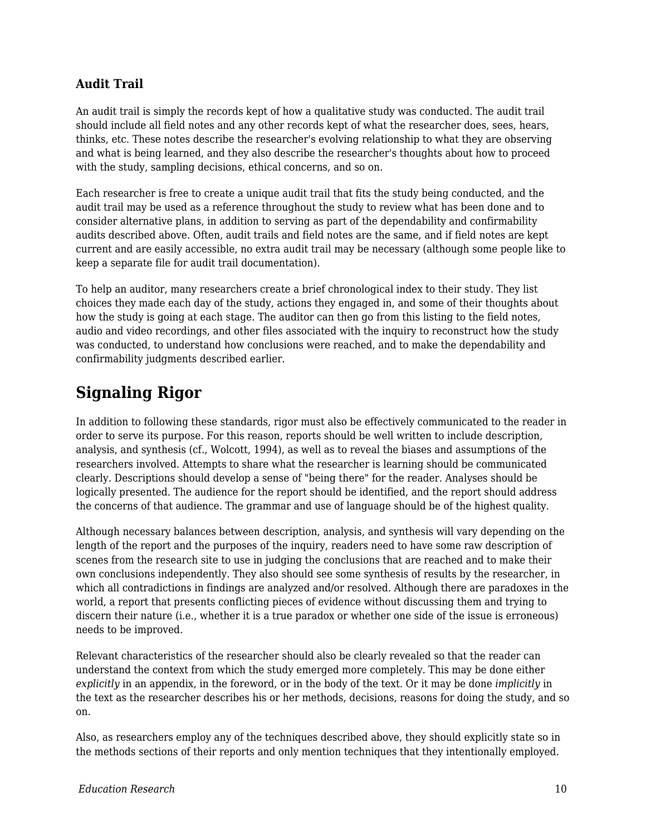#### **Audit Trail**

An audit trail is simply the records kept of how a qualitative study was conducted. The audit trail should include all field notes and any other records kept of what the researcher does, sees, hears, thinks, etc. These notes describe the researcher's evolving relationship to what they are observing and what is being learned, and they also describe the researcher's thoughts about how to proceed with the study, sampling decisions, ethical concerns, and so on.

Each researcher is free to create a unique audit trail that fits the study being conducted, and the audit trail may be used as a reference throughout the study to review what has been done and to consider alternative plans, in addition to serving as part of the dependability and confirmability audits described above. Often, audit trails and field notes are the same, and if field notes are kept current and are easily accessible, no extra audit trail may be necessary (although some people like to keep a separate file for audit trail documentation).

To help an auditor, many researchers create a brief chronological index to their study. They list choices they made each day of the study, actions they engaged in, and some of their thoughts about how the study is going at each stage. The auditor can then go from this listing to the field notes, audio and video recordings, and other files associated with the inquiry to reconstruct how the study was conducted, to understand how conclusions were reached, and to make the dependability and confirmability judgments described earlier.

### **Signaling Rigor**

In addition to following these standards, rigor must also be effectively communicated to the reader in order to serve its purpose. For this reason, reports should be well written to include description, analysis, and synthesis (cf., Wolcott, 1994), as well as to reveal the biases and assumptions of the researchers involved. Attempts to share what the researcher is learning should be communicated clearly. Descriptions should develop a sense of "being there" for the reader. Analyses should be logically presented. The audience for the report should be identified, and the report should address the concerns of that audience. The grammar and use of language should be of the highest quality.

Although necessary balances between description, analysis, and synthesis will vary depending on the length of the report and the purposes of the inquiry, readers need to have some raw description of scenes from the research site to use in judging the conclusions that are reached and to make their own conclusions independently. They also should see some synthesis of results by the researcher, in which all contradictions in findings are analyzed and/or resolved. Although there are paradoxes in the world, a report that presents conflicting pieces of evidence without discussing them and trying to discern their nature (i.e., whether it is a true paradox or whether one side of the issue is erroneous) needs to be improved.

Relevant characteristics of the researcher should also be clearly revealed so that the reader can understand the context from which the study emerged more completely. This may be done either *explicitly* in an appendix, in the foreword, or in the body of the text. Or it may be done *implicitly* in the text as the researcher describes his or her methods, decisions, reasons for doing the study, and so on.

Also, as researchers employ any of the techniques described above, they should explicitly state so in the methods sections of their reports and only mention techniques that they intentionally employed.